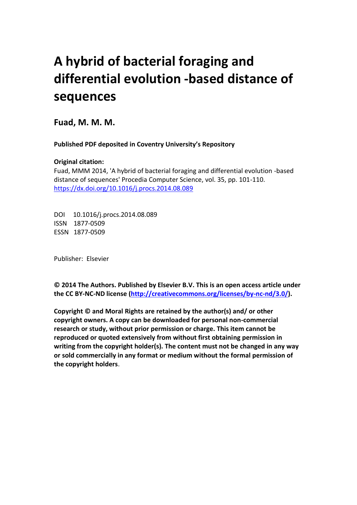## **A hybrid of bacterial foraging and differential evolution -based distance of sequences**

**Fuad, M. M. M.** 

 **Published PDF deposited in Coventry University's Repository** 

### **Original citation:**

 Fuad, MMM 2014, 'A hybrid of bacterial foraging and differential evolution -based distance of sequences' Procedia Computer Science, vol. 35, pp. 101-110. https://dx.doi.org/10.1016/j.procs.2014.08.089

 DOI 10.1016/j.procs.2014.08.089 ISSN 1877-0509 ESSN 1877-0509

Publisher: Elsevier

 **© 2014 The Authors. Published by Elsevier B.V. This is an open access article under the CC BY-NC-ND license [\(http://creativecommons.org/licenses/by-nc-nd/3.0/\)](http://creativecommons.org/licenses/by-nc-nd/3.0/).** 

 **Copyright © and Moral Rights are retained by the author(s) and/ or other copyright owners. A copy can be downloaded for personal non-commercial research or study, without prior permission or charge. This item cannot be reproduced or quoted extensively from without first obtaining permission in writing from the copyright holder(s). The content must not be changed in any way or sold commercially in any format or medium without the formal permission of the copyright holders**.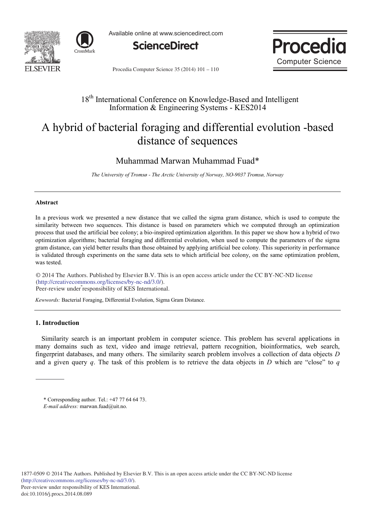



Available online at www.sciencedirect.com





Procedia Computer Science 35 (2014) 101 - 110

#### 18<sup>th</sup> International Conference on Knowledge-Based and Intelligent Information & Engineering Systems - KES2014

# distance of sequences<br>Muhammad Marwan Muhammad Fuad\* A hybrid of bacterial foraging and differential evolution -based

 *The University of Tromsø - The Arctic University of Norway, NO-9037 Tromsø, Norway* 

#### **Abstract**

 In a previous work we presented a new distance that we called the sigma gram distance, which is used to compute the gram distance, can yield better results than those obtained by applying artificial bee colony. This superiority in performance similarity between two sequences. This distance is based on parameters which we computed through an optimization process that used the artificial bee colony; a bio-inspired optimization algorithm. In this paper we show how a hybrid of two optimization algorithms; bacterial foraging and differential evolution, when used to compute the parameters of the sigma is validated through experiments on the same data sets to which artificial bee colony, on the same optimization problem, was tested.

© 2014 The Authors. Published by Elsevier B.V. © 2014 The Authors. Published by Elsevier B.V. This is an open access article under the CC BY-NC-ND license (http://creativecommons.org/licenses/by-nc-nd/3.0/). Peer-review under responsibility of KES International.

*Kewwords:* Bacterial Foraging, Differential Evolution, Sigma Gram Distance.

#### **1. Introduction**

 Similarity search is an important problem in computer science. This problem has several applications in many domains such as text, video and image retrieval, pattern recognition, bioinformatics, web search, fingerprint databases, and many others. The similarity search problem involves a collection of data objects *D*  and a given query *q*. The task of this problem is to retrieve the data objects in *D* which are "close" to *q* 

 \* Corresponding author. Tel.: +47 77 64 64 73. *E-mail address:* marwan.fuad@uit.no.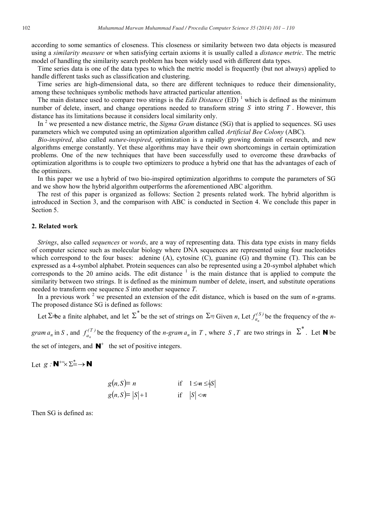according to some semantics of closeness. This closeness or similarity between two data objects is measured using a *similarity measure* or when satisfying certain axioms it is usually called a *distance metric*. The metric model of handling the similarity search problem has been widely used with different data types.

Time series data is one of the data types to which the metric model is frequently (but not always) applied to handle different tasks such as classification and clustering.

Time series are high-dimensional data, so there are different techniques to reduce their dimensionality, among these techniques symbolic methods have attracted particular attention.

 number of delete, insert, and change operations needed to transform string *S* into string *T* . However, this The main distance used to compare two strings is the *Edit Distance* (ED)<sup>1</sup> which is defined as the minimum distance has its limitations because it considers local similarity only.

 In 2 we presented a new distance metric, the *Sigma Gram* distance (SG) that is applied to sequences. SG uses parameters which we computed using an optimization algorithm called *Artificial Bee Colony* (ABC).

 *Bio-inspired*, also called *nature-inspired*, optimization is a rapidly growing domain of research, and new algorithms emerge constantly. Yet these algorithms may have their own shortcomings in certain optimization problems. One of the new techniques that have been successfully used to overcome these drawbacks of optimization algorithms is to couple two optimizers to produce a hybrid one that has the advantages of each of the optimizers.

 In this paper we use a hybrid of two bio-inspired optimization algorithms to compute the parameters of SG and we show how the hybrid algorithm outperforms the aforementioned ABC algorithm.

 The rest of this paper is organized as follows: Section 2 presents related work. The hybrid algorithm is introduced in Section 3, and the comparison with ABC is conducted in Section 4. We conclude this paper in Section 5.

#### **2. Related work**

 *Strings*, also called *sequences* or *words*, are a way of representing data. This data type exists in many fields which correspond to the four bases: adenine (A), cytosine (C), guanine (G) and thymine (T). This can be corresponds to the 20 amino acids. The edit distance  $1$  is the main distance that is applied to compute the similarity between two strings. It is defined as the minimum number of delete, insert, and substitute operations of computer science such as molecular biology where DNA sequences are represented using four nucleotides expressed as a 4-symbol alphabet. Protein sequences can also be represented using a 20-symbol alphabet which needed to transform one sequence *S* into another sequence *T*.

In a previous work  $2$  we presented an extension of the edit distance, which is based on the sum of *n*-grams. The proposed distance SG is defined as follows:

Let  $\Sigma$  be a finite alphabet, and let  $\Sigma^*$  be the set of strings on  $\Sigma$  = Given *n*, Let  $f_a^{(S)}$  be the frequency of the *n*-

*gram*  $a_n$  in *S*, and  $f_{a_n}^{(T)}$  be the frequency of the *n-gram*  $a_n$  in *T*, where *S*, *T* are two strings in  $\sum^*$ . Let **N** be the set of integers, and  $\mathbb{N}^+$  the set of positive integers.

Let  $g : \mathbf{N}^{\dagger} \times \Sigma^{\ast} \to \mathbf{N}$ 

 $g(n, S) = n$  if  $1 \le n \le S$  $g(n, S) = |S| + 1$  if  $|S| < \pi$ 

Then SG is defined as: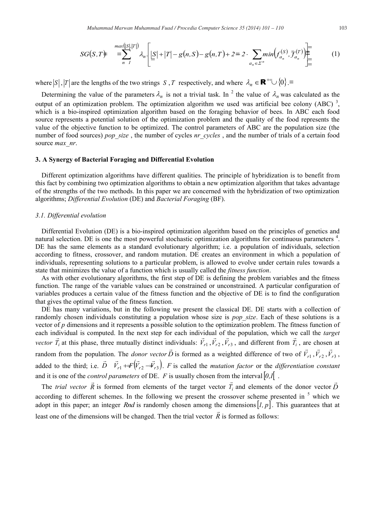$$
SG(S,T) = \sum_{n=1}^{\max(|S|,|T|)} \lambda_n \left[ \underline{S}|+|T|-g(n,S)-g(n,T)+2=2 \cdot \sum_{a_n \in \Sigma^n} \min(f_{a_n}^{(S)}, \overline{f}_{a_n}^{(T)}) \right] = \sum_{n=1}^{\min(\sum_{n=1}^{\infty} \sum_{n=1}^{\infty} \lambda_n)} (1)
$$

where  $|S|$ ,  $|T|$  are the lengths of the two strings *S*, *T* respectively, and where  $\lambda_n \in \mathbf{R}^+ \cup \{0\}$ .

Determining the value of the parameters  $\lambda_n$  is not a trivial task. In <sup>2</sup> the value of  $\lambda_n$  was calculated as the output of an optimization problem. The optimization algorithm we used was artificial bee colony (ABC)<sup>3</sup>, which is a bio-inspired optimization algorithm based on the foraging behavior of bees. In ABC each food source represents a potential solution of the optimization problem and the quality of the food represents the value of the objective function to be optimized. The control parameters of ABC are the population size (the number of food sources) *pop\_size* , the number of cycles *nr\_cycles* , and the number of trials of a certain food source *max\_nr*.

#### **3. A Synergy of Bacterial Foraging and Differential Evolution**

 Different optimization algorithms have different qualities. The principle of hybridization is to benefit from of the strengths of the two methods. In this paper we are concerned with the hybridization of two optimization algorithms; *Differential Evolution* (DE) and *Bacterial Foraging* (BF). this fact by combining two optimization algorithms to obtain a new optimization algorithm that takes advantage

#### *3.1. Differential evolution*

 Differential Evolution (DE) is a bio-inspired optimization algorithm based on the principles of genetics and natural selection. DE is one the most powerful stochastic optimization algorithms for continuous parameters<sup>4</sup>. DE has the same elements as a standard evolutionary algorithm; i.e. a population of individuals, selection according to fitness, crossover, and random mutation. DE creates an environment in which a population of individuals, representing solutions to a particular problem, is allowed to evolve under certain rules towards a state that minimizes the value of a function which is usually called the *fitness function*.

 As with other evolutionary algorithms, the first step of DE is defining the problem variables and the fitness variables produces a certain value of the fitness function and the objective of DE is to find the configuration function. The range of the variable values can be constrained or unconstrained. A particular configuration of that gives the optimal value of the fitness function.

 DE has many variations, but in the following we present the classical DE. DE starts with a collection of added to the third; i.e.  $D$   $V_{r1}$  +  $F(V_{r2} - V_{r3})$ . *F* is called the *mutation factor* or the *differentiation constant* and it is one of the *control parameters* of DE. *F* is usually chosen from the interval  $[0,1]$ . randomly chosen individuals constituting a population whose size is *pop size*. Each of these solutions is a vector of *p* dimensions and it represents a possible solution to the optimization problem. The fitness function of random from the population. The *donor vector*  $\vec{D}$  is formed as a weighted difference of two of  $\vec{V}_{r1}$ ,  $\vec{V}_{r2}$ ,  $\vec{V}_{r3}$ , *The material is computed in the attention*  $\overline{C}_P$  for the *materiality*  $\overline{C}_{r1}$ ,  $\overline{V}_{r2}$ ,  $\overline{V}_{r3}$ , and different from  $\overline{T}_i$ , are chosen at *r*<sup>2</sup> , are chosen at each individual is computed. In the next step for each individual of the population, which we call the *target* 

according to different schemes. In the following we present the crossover scheme presented in  $<sup>5</sup>$  which we</sup> least one of the dimensions will be changed. Then the trial vector  $\vec{R}$  is formed as follows: The *trial vector*  $\overline{R}$  is formed from elements of the target vector  $T_i$  and elements of the donor vector  $\overline{D}$ adopt in this paper; an integer *Rnd* is randomly chosen among the dimensions  $[I, p]$ . This guarantees that at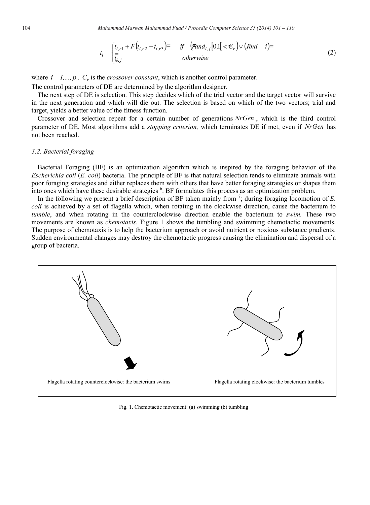$$
t_i \quad \begin{cases} t_{i,r1} + F(t_{i,r2} - t_{i,r3}) = & if \quad (\overline{r} \text{ and } t_{i,j} [0,1] < \mathfrak{E}_r \end{cases} \quad \text{(Rnd} \quad i) =
$$
\n
$$
t_i \quad \begin{cases} \frac{1}{\mathfrak{L}} \\ \frac{1}{\mathfrak{L}} \end{cases} \tag{2}
$$

where  $i \quad 1, \ldots, p \quad C_r$  is the *crossover constant*, which is another control parameter.

The control parameters of DE are determined by the algorithm designer.

The next step of DE is selection. This step decides which of the trial vector and the target vector will survive in the next generation and which will die out. The selection is based on which of the two vectors; trial and target, yields a better value of the fitness function.

Crossover and selection repeat for a certain number of generations *NrGen* , which is the third control parameter of DE. Most algorithms add a *stopping criterion,* which terminates DE if met, even if *NrGen* has not been reached.

#### *3.2. Bacterial foraging*

 Bacterial Foraging (BF) is an optimization algorithm which is inspired by the foraging behavior of the *Escherichia coli* (*E. coli*) bacteria. The principle of BF is that natural selection tends to eliminate animals with poor foraging strategies and either replaces them with others that have better foraging strategies or shapes them into ones which have these desirable strategies <sup>6</sup>. BF formulates this process as an optimization problem.

In the following we present a brief description of BF taken mainly from <sup>7</sup>; during foraging locomotion of *E*. *coli* is achieved by a set of flagella which, when rotating in the clockwise direction, cause the bacterium to movements are known as *chemotaxis*. Figure 1 shows the tumbling and swimming chemotactic movements. The purpose of chemotaxis is to help the bacterium approach or avoid nutrient or noxious substance gradients. *tumble*, and when rotating in the counterclockwise direction enable the bacterium to *swim.* These two Sudden environmental changes may destroy the chemotactic progress causing the elimination and dispersal of a group of bacteria.



Fig. 1. Chemotactic movement: (a) swimming (b) tumbling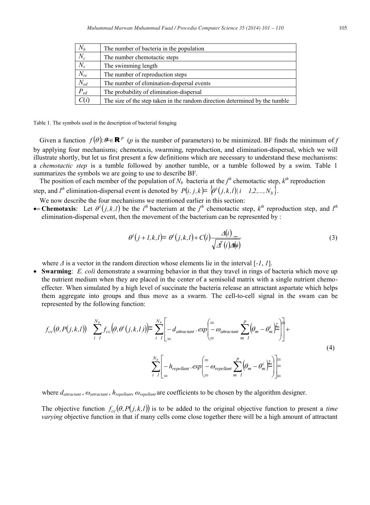| $N_b$               | The number of bacteria in the population                                    |
|---------------------|-----------------------------------------------------------------------------|
| $N_c$               | The number chemotactic steps                                                |
| $N_{s}$             | The swimming length                                                         |
| $N_{re}$            | The number of reproduction steps                                            |
| $N_{ed}$            | The number of elimination-dispersal events                                  |
| $\overline{P_{ed}}$ | The probability of elimination-dispersal                                    |
| C(i)                | The size of the step taken in the random direction determined by the tumble |

Table 1. The symbols used in the description of bacterial foraging

 by applying four mechanisms; chemotaxis, swarming, reproduction, and elimination-dispersal, which we will Given a function  $f(\theta)$ ;  $\theta \in \mathbb{R}^p$  (*p* is the number of parameters) to be minimized. BF finds the minimum of *f* illustrate shortly, but let us first present a few definitions which are necessary to understand these mechanisms: a *chemotactic step* is a tumble followed by another tumble, or a tumble followed by a swim. Table 1 summarizes the symbols we are going to use to describe BF.

The position of each member of the population of  $N_b$  bacteria at the  $j<sup>th</sup>$  chemotactic step,  $k<sup>th</sup>$  reproduction step, and *l*<sup>th</sup> elimination-dispersal event is denoted by  $P(i, j, k) = \{ \theta^i(j, k, l) | i \quad 1, 2, ..., N_b \}.$ 

We now describe the four mechanisms we mentioned earlier in this section:

**Example 2 Chemotaxis**: Let  $\theta^i(j,k,l)$  be the *i*<sup>th</sup> bacterium at the *j*<sup>th</sup> chemotactic step,  $k^{th}$  reproduction step, and *l*<sup>th</sup> elimination-dispersal event, then the movement of the bacterium can be represented by :

$$
\theta^{i}(j+l,k,l) = \theta^{i}(j,k,l) + C(i) \frac{\Delta(i)}{\sqrt{A^{T}(i)\Delta(i)}}
$$
\n(3)

where *Δ* is a vector in the random direction whose elements lie in the interval [*-1*, *1*].

• Swarming: *E. coli* demonstrate a swarming behavior in that they travel in rings of bacteria which move up the nutrient medium when they are placed in the center of a semisolid matrix with a single nutrient chemo- them aggregate into groups and thus move as a swarm. The cell-to-cell signal in the swam can be effecter. When simulated by a high level of succinate the bacteria release an attractant aspartate which helps represented by the following function:

$$
f_{cc}(\theta, P(j,k,l)) \sum_{i=1}^{N_b} f_{cc}(\theta, \theta^i(j,k,l)) = \sum_{i=1}^{N_b} \left[ -d_{attractant} \cdot \exp\left( -\frac{\omega_{attractant}}{m} \sum_{m=1}^{p} (\theta_m - \theta_m^i)^2 \right) \right] +
$$
  

$$
\sum_{i=1}^{N_b} \left[ -h_{repellant} \cdot \exp\left( -\frac{\omega_{repellant}}{m} \sum_{m=1}^{p} (\theta_m - \theta_m^i)^2 \right) \right] =
$$
  

$$
(4)
$$

where *dattractant* , *ωattractant* , *hrepellant*, *ωrepellant* are coefficients to be chosen by the algorithm designer.

The objective function  $f_{cc}(\theta, P(j,k,l))$  is to be added to the original objective function to present a *time varying* objective function in that if many cells come close together there will be a high amount of attractant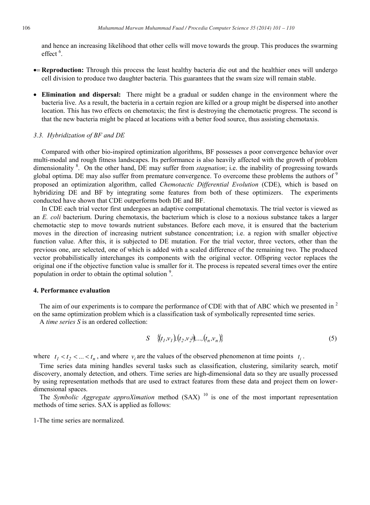and hence an increasing likelihood that other cells will move towards the group. This produces the swarming  $effect^6$ .

- **Exercise 2.1 Reproduction:** Through this process the least healthy bacteria die out and the healthier ones will undergo cell division to produce two daughter bacteria. This guarantees that the swam size will remain stable.
- **Elimination and dispersal:** There might be a gradual or sudden change in the environment where the bacteria live. As a result, the bacteria in a certain region are killed or a group might be dispersed into another location. This has two effects on chemotaxis; the first is destroying the chemotactic progress. The second is that the new bacteria might be placed at locations with a better food source, thus assisting chemotaxis.

#### *3.3. Hybridization of BF and DE*

dimensionality <sup>8</sup>. On the other hand, DE may suffer from *stagnation*; i.e. the inability of progressing towards Compared with other bio-inspired optimization algorithms, BF possesses a poor convergence behavior over multi-modal and rough fitness landscapes. Its performance is also heavily affected with the growth of problem global optima. DE may also suffer from premature convergence. To overcome these problems the authors of <sup>9</sup> proposed an optimization algorithm, called *Chemotactic Differential Evolution* (CDE), which is based on hybridizing DE and BF by integrating some features from both of these optimizers. The experiments conducted have shown that CDE outperforms both DE and BF.

 an *E. coli* bacterium. During chemotaxis, the bacterium which is close to a noxious substance takes a larger vector probabilistically interchanges its components with the original vector. Offspring vector replaces the In CDE each trial vector first undergoes an adaptive computational chemotaxis. The trial vector is viewed as chemotactic step to move towards nutrient substances. Before each move, it is ensured that the bacterium moves in the direction of increasing nutrient substance concentration; i.e. a region with smaller objective function value. After this, it is subjected to DE mutation. For the trial vector, three vectors, other than the previous one, are selected, one of which is added with a scaled difference of the remaining two. The produced original one if the objective function value is smaller for it. The process is repeated several times over the entire population in order to obtain the optimal solution<sup>9</sup>.

#### **4. Performance evaluation**

The aim of our experiments is to compare the performance of CDE with that of ABC which we presented in  $2$ on the same optimization problem which is a classification task of symbolically represented time series.

A *time series S* is an ordered collection:

$$
S = \{(t_1, v_1), (t_2, v_2), \dots, (t_n, v_n)\}
$$
\n<sup>(5)</sup>

where  $t_1 < t_2 < ... < t_n$ , and where  $v_i$  are the values of the observed phenomenon at time points  $t_i$ .

Time series data mining handles several tasks such as classification, clustering, similarity search, motif discovery, anomaly detection, and others. Time series are high-dimensional data so they are usually processed by using representation methods that are used to extract features from these data and project them on lowerdimensional spaces.

The *Symbolic Aggregate approXimation* method (SAX)<sup>10</sup> is one of the most important representation methods of time series. SAX is applied as follows:

1-The time series are normalized.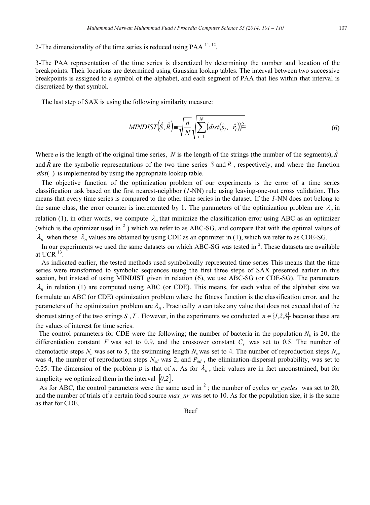#### 2-The dimensionality of the time series is reduced using  $PAA$ <sup>11, 12</sup>.

3-The PAA representation of the time series is discretized by determining the number and location of the breakpoints. Their locations are determined using Gaussian lookup tables. The interval between two successive breakpoints is assigned to a symbol of the alphabet, and each segment of PAA that lies within that interval is discretized by that symbol.

The last step of SAX is using the following similarity measure:

$$
MINDIST(\hat{S}, \hat{R}) \equiv \sqrt{\frac{n}{N}} \sqrt{\sum_{i=1}^{N} (dist(\hat{s}_i, \hat{r}_i))^2}
$$
(6)

Where *n* is the length of the original time series, *N* is the length of the strings (the number of the segments),  $\hat{S}$ and  $\hat{R}$  are the symbolic representations of the two time series S and R, respectively, and where the function *dist*( ) is implemented by using the appropriate lookup table.

 The objective function of the optimization problem of our experiments is the error of a time series relation (1), in other words, we compute  $\lambda_n$  that minimize the classification error using ABC as an optimizer (which is the optimizer used in  $2$ ) which we refer to as ABC-SG, and compare that with the optimal values of  $\lambda_n$  when those  $\lambda_n$  values are obtained by using CDE as an optimizer in (1), which we refer to as CDE-SG. classification task based on the first nearest-neighbor (*1*-NN) rule using leaving-one-out cross validation. This means that every time series is compared to the other time series in the dataset. If the *1*-NN does not belong to the same class, the error counter is incremented by 1. The parameters of the optimization problem are  $\lambda_n$  in

In our experiments we used the same datasets on which ABC-SG was tested in  $2$ . These datasets are available at UCR  $^{13}$ .

 series were transformed to symbolic sequences using the first three steps of SAX presented earlier in this section, but instead of using MINDIST given in relation (6), we use ABC-SG (or CDE-SG). The parameters  $\lambda_n$  in relation (1) are computed using ABC (or CDE). This means, for each value of the alphabet size we formulate an ABC (or CDE) optimization problem where the fitness function is the classification error, and the shortest string of the two strings *S*, *T*. However, in the experiments we conducted  $n \in \{1,2,3\}$  because these are As indicated earlier, the tested methods used symbolically represented time series This means that the time parameters of the optimization problem are  $\lambda_n$ . Practically *n* can take any value that does not exceed that of the the values of interest for time series.

chemotactic steps  $N_c$  was set to 5, the swimming length  $N_s$  was set to 4. The number of reproduction steps  $N_{re}$ was 4, the number of reproduction steps  $N_{ed}$  was 2, and  $P_{ed}$ , the elimination-dispersal probability, was set to 0.25. The dimension of the problem  $p$  is that of  $n$ . As for  $\lambda_n$ , their values are in fact unconstrained, but for The control parameters for CDE were the following; the number of bacteria in the population  $N_b$  is 20, the differentiation constant *F* was set to 0.9, and the crossover constant  $C_r$  was set to 0.5. The number of simplicity we optimized them in the interval  $[0,2]$ .

As for ABC, the control parameters were the same used in  $2$ ; the number of cycles *nr* cycles was set to 20, and the number of trials of a certain food source *max* nr was set to 10. As for the population size, it is the same as that for CDE.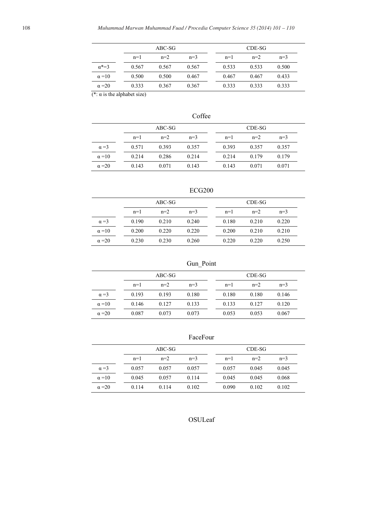|                |       | ABC-SG |       |       | CDE-SG |       |
|----------------|-------|--------|-------|-------|--------|-------|
|                | $n=1$ | $n=2$  | $n=3$ | $n=1$ | $n=2$  | $n=3$ |
| $\alpha^* = 3$ | 0.567 | 0.567  | 0.567 | 0.533 | 0.533  | 0.500 |
| $\alpha = 10$  | 0.500 | 0.500  | 0.467 | 0.467 | 0.467  | 0.433 |
| $\alpha = 20$  | 0.333 | 0.367  | 0.367 | 0.333 | 0.333  | 0.333 |

 $(*: \alpha \text{ is the alphabet size})$ 

 $\alpha = 3$ Coffee ABC-SG CDE-SG n=1 n=2 n=3 n=1 n=2 n=3  $\alpha = 3$  0.571 0.393 0.357 0.393 0.357 0.357  $\alpha = 10$  0.214 0.286 0.214 0.214 0.179 0.179  $\alpha = 20$  0.143 0.071 0.143 0.143 0.071 0.071

ECG200

|               |       | ABC-SG |       |       | CDE-SG |       |
|---------------|-------|--------|-------|-------|--------|-------|
|               | $n=1$ | $n=2$  | $n=3$ | $n=1$ | $n=2$  | $n=3$ |
| $\alpha = 3$  | 0.190 | 0.210  | 0.240 | 0.180 | 0.210  | 0.220 |
| $\alpha = 10$ | 0.200 | 0.220  | 0.220 | 0.200 | 0.210  | 0.210 |
| $\alpha = 20$ | 0.230 | 0.230  | 0.260 | 0.220 | 0.220  | 0.250 |

Gun\_Point

|               |       | ABC-SG |       |       | CDE-SG |       |
|---------------|-------|--------|-------|-------|--------|-------|
|               | $n=1$ | $n=2$  | $n=3$ | $n=1$ | $n=2$  | $n=3$ |
| $\alpha = 3$  | 0.193 | 0.193  | 0.180 | 0.180 | 0.180  | 0.146 |
| $\alpha = 10$ | 0.146 | 0.127  | 0.133 | 0.133 | 0.127  | 0.120 |
| $\alpha = 20$ | 0.087 | 0.073  | 0.073 | 0.053 | 0.053  | 0.067 |

FaceFour

|               |       | ABC-SG |       |       | CDE-SG |       |
|---------------|-------|--------|-------|-------|--------|-------|
|               | $n=1$ | $n=2$  | $n=3$ | $n=1$ | $n=2$  | $n=3$ |
| $\alpha = 3$  | 0.057 | 0.057  | 0.057 | 0.057 | 0.045  | 0.045 |
| $\alpha = 10$ | 0.045 | 0.057  | 0.114 | 0.045 | 0.045  | 0.068 |
| $\alpha = 20$ | 0.114 | 0.114  | 0.102 | 0.090 | 0.102  | 0.102 |

OSULeaf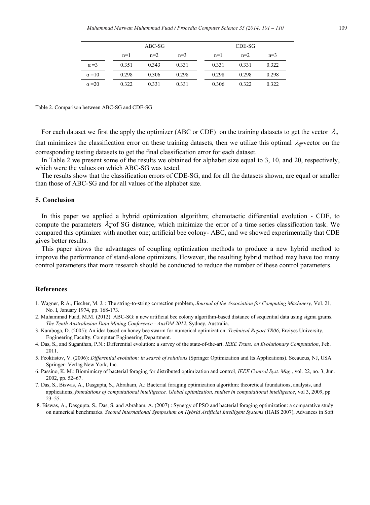|               | ABC-SG |       |       |  | CDE-SG |       |       |  |
|---------------|--------|-------|-------|--|--------|-------|-------|--|
|               | $n=1$  | $n=2$ | $n=3$ |  | $n=1$  | $n=2$ | $n=3$ |  |
| $\alpha = 3$  | 0.351  | 0.343 | 0.331 |  | 0.331  | 0.331 | 0.322 |  |
| $\alpha = 10$ | 0.298  | 0.306 | 0.298 |  | 0.298  | 0.298 | 0.298 |  |
| $\alpha = 20$ | 0.322  | 0.331 | 0.331 |  | 0.306  | 0.322 | 0.322 |  |

Table 2. Comparison between ABC-SG and CDE-SG

For each dataset we first the apply the optimizer (ABC or CDE) on the training datasets to get the vector  $\lambda_n$ that minimizes the classification error on these training datasets, then we utilize this optimal  $\lambda_{\overline{n}}$  vector on the corresponding testing datasets to get the final classification error for each dataset.

 In Table 2 we present some of the results we obtained for alphabet size equal to 3, 10, and 20, respectively, which were the values on which ABC-SG was tested.

 The results show that the classification errors of CDE-SG, and for all the datasets shown, are equal or smaller than those of ABC-SG and for all values of the alphabet size.

#### **5. Conclusion**

compute the parameters  $\lambda_{\overline{n}}$  of SG distance, which minimize the error of a time series classification task. We compared this optimizer with another one; artificial bee colony- ABC, and we showed experimentally that CDE In this paper we applied a hybrid optimization algorithm; chemotactic differential evolution - CDE, to gives better results.

 This paper shows the advantages of coupling optimization methods to produce a new hybrid method to improve the performance of stand-alone optimizers. However, the resulting hybrid method may have too many control parameters that more research should be conducted to reduce the number of these control parameters.

#### **References**

- 1. Wagner, R.A., Fischer, M. J. : The string-to-string correction problem, *Journal of the Association for Computing Machinery*, Vol. 21, No. I, January 1974, pp. 168-173.
- *The Tenth Australasian Data Mining Conference AusDM 2012*, Sydney, Australia. 2. Muhammad Fuad, M.M. (2012): ABC-SG: a new artificial bee colony algorithm-based distance of sequential data using sigma grams.
- 3. Karaboga, D. (2005): An idea based on honey bee swarm for numerical optimization. *Technical Report TR06*, Erciyes University, Engineering Faculty, Computer Engineering Department.
- 4. Das, S., and Suganthan, P.N.: Differential evolution: a survey of the state-of-the-art. *IEEE Trans. on Evolutionary Computation*, Feb. 2011.
- 5. Feoktistov, V. (2006): *Differential evolution: in search of solutions* (Springer Optimization and Its Applications). Secaucus, NJ, USA: Springer- Verlag New York, Inc.
- 6. Passino, K. M.: Biomimicry of bacterial foraging for distributed optimization and control, IEEE Control Syst. Mag., vol. 22, no. 3, Jun. 2002, pp. 52–67.
- applications, *foundations of computational intelligence. Global optimization, studies in computational intelligence*, vol 3, 2009, pp 7. Das, S., Biswas, A., Dasgupta, S., Abraham, A.: Bacterial foraging optimization algorithm: theoretical foundations, analysis, and 23–55.
- 8. Biswas, A., Dasgupta, S., Das, S. and Abraham, A. (2007) : Synergy of PSO and bacterial foraging optimization: a comparative study on numerical benchmarks. *Second International Symposium on Hybrid Artificial Intelligent Systems* (HAIS 2007), Advances in Soft